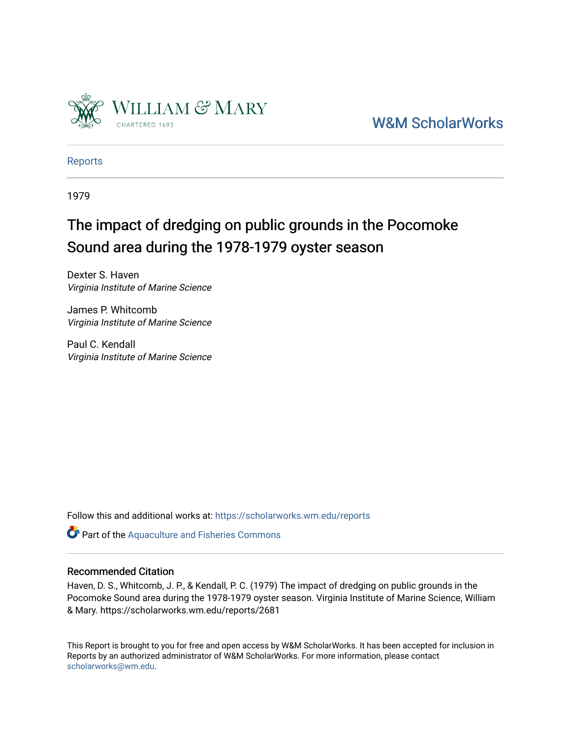

[W&M ScholarWorks](https://scholarworks.wm.edu/) 

[Reports](https://scholarworks.wm.edu/reports)

1979

# The impact of dredging on public grounds in the Pocomoke Sound area during the 1978-1979 oyster season

Dexter S. Haven Virginia Institute of Marine Science

James P. Whitcomb Virginia Institute of Marine Science

Paul C. Kendall Virginia Institute of Marine Science

Follow this and additional works at: [https://scholarworks.wm.edu/reports](https://scholarworks.wm.edu/reports?utm_source=scholarworks.wm.edu%2Freports%2F2681&utm_medium=PDF&utm_campaign=PDFCoverPages)

Part of the [Aquaculture and Fisheries Commons](http://network.bepress.com/hgg/discipline/78?utm_source=scholarworks.wm.edu%2Freports%2F2681&utm_medium=PDF&utm_campaign=PDFCoverPages)

#### Recommended Citation

Haven, D. S., Whitcomb, J. P., & Kendall, P. C. (1979) The impact of dredging on public grounds in the Pocomoke Sound area during the 1978-1979 oyster season. Virginia Institute of Marine Science, William & Mary. https://scholarworks.wm.edu/reports/2681

This Report is brought to you for free and open access by W&M ScholarWorks. It has been accepted for inclusion in Reports by an authorized administrator of W&M ScholarWorks. For more information, please contact [scholarworks@wm.edu.](mailto:scholarworks@wm.edu)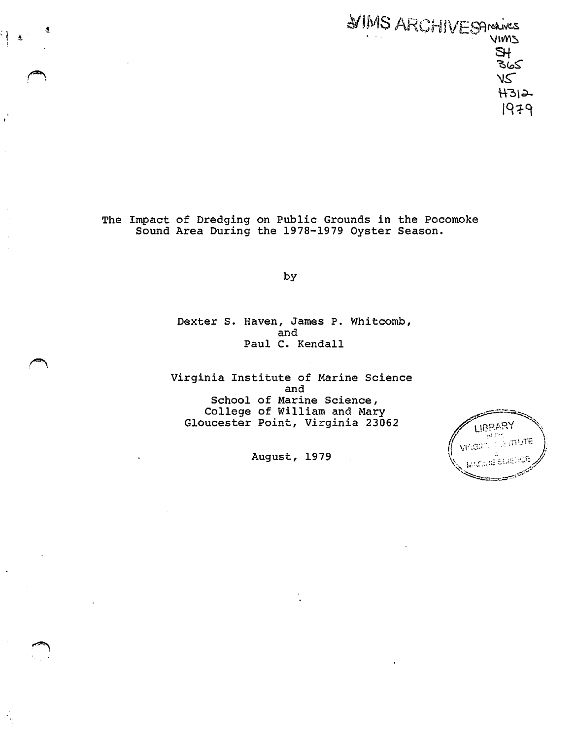$\mathcal{A}$  MVIS ARC;-IIVESArchives • \11\/Vl~  $\mathbb{R}^+$ \_<br>৪৯০  $\sqrt{2}$  $H312-$ 1979

> The Impact of Dredging on Public Grounds in the Pocomoke Sound Area During the 1978-1979 Oyster Season.

 $\frac{1}{2}$ 

by

Dexter s. Haven, James P. Whitcomb, and Paul c. Kendall

Virginia Institute of Marine Science and School of Marine Science, College of William and Mary Gloucester Point, Virginia 23062

August, 1979

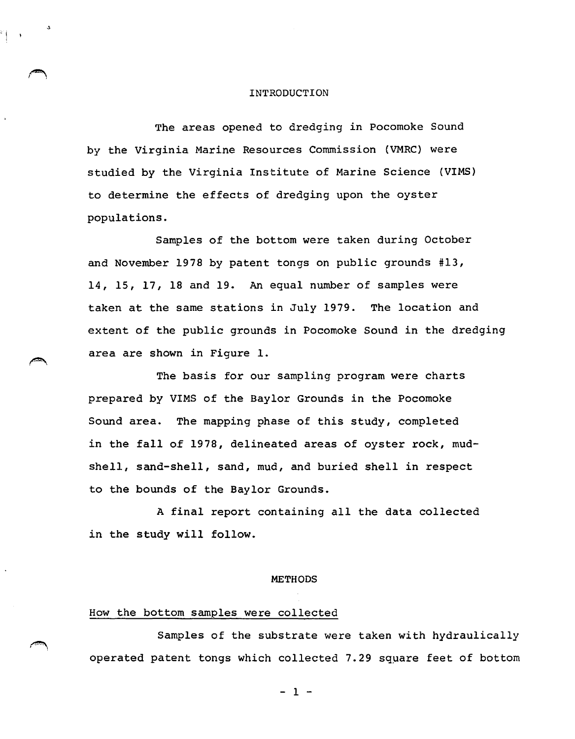#### INTRODUCTION

'i

The areas opened to dredging in Pocomoke Sound by the Virginia Marine Resources Commission (VMRC} were studied by the Virginia Institute of Marine Science (VIMS} to determine the effects of dredging upon the oyster populations.

Samples of the bottom were taken during October and November 1978 by patent tongs on public grounds #13, 14, 15, 17, 18 and 19. An equal number of samples were taken at the same stations in July 1979. The location and extent of the public grounds in Pocomoke Sound in the dredging area are shown in Figure 1.

The basis for our sampling program were charts prepared by VIMS of the Baylor Grounds in the Pocomoke Sound area. The mapping phase of this study, completed in the fall 0£ 1978, delineated areas of oyster rock, mudshell, sand-shell, sand, mud, and buried shell in respect to the bounds of the Baylor Grounds.

A final report containing all the data collected in the study will follow.

#### **METHODS**

#### How the bottom samples were collected

Samples of the substrate were taken with hydraulically operated patent tongs which collected 7.29 sqµare feet of bottom

 $-1 -$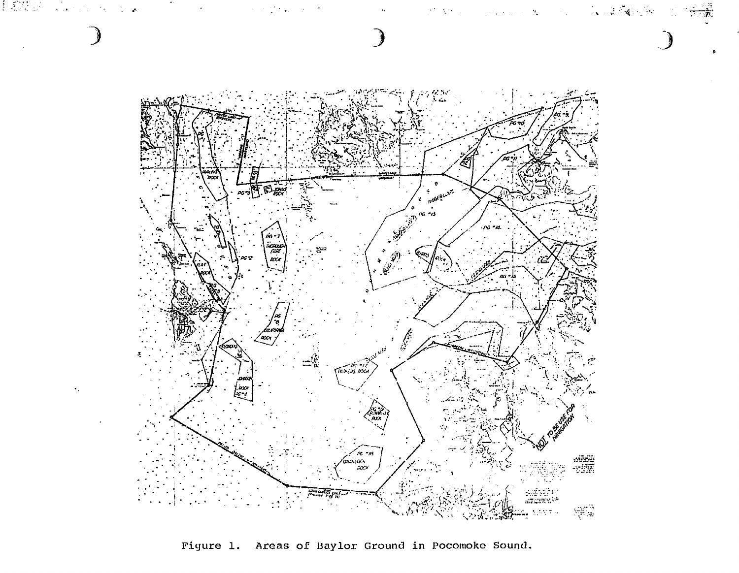

Figure 1. Areas of Baylor Ground in Pocomoke Sound.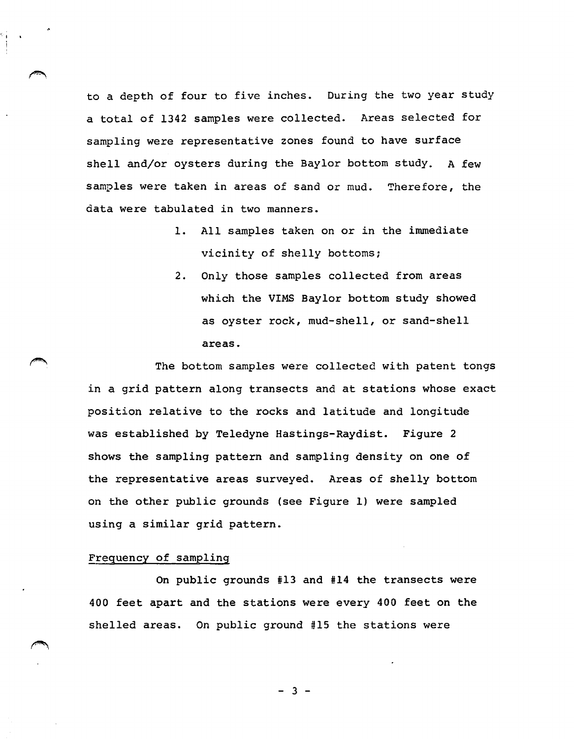to a depth of four to five inches. During the two year study a total of 1342 samples were collected. Areas selected for sampling were representative zones found to have surface shell and/or oysters during the Baylor bottom study. A few samples were taken in areas of sand or mud. Therefore, the data were tabulated in two manners.

- 1. All samples taken on or in the immediate vicinity of shelly bottoms;
- 2. Only those samples collected from areas which the VIMS Baylor bottom study showed as oyster rock, mud-shell, or sand-shell areas.

The bottom samples were collected with patent tongs in a grid pattern along transects and at stations whose exact position relative to the rocks and latitude and longitude was established by Teledyne Hastings-Raydist. Figure 2 shows the sampling pattern and sampling density on one of the representative areas surveyed. Areas of shelly bottom on the other public grounds (see Figure 1) were sampled using a similar grid pattern.

#### Frequency of sampling

On public grounds #13 and #14 the transects were 400 feet apart and the stations were every 400 feet on the shelled areas. On public ground #15 the stations were

 $-3 -$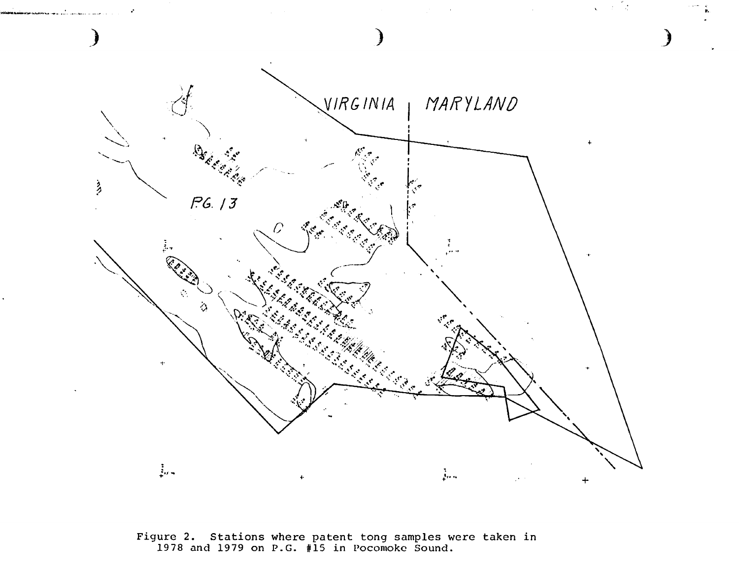

Figure 2. Stations where patent tong samples were taken in 1978 and 1979 on P.G. #15 in Pocomoke Sound.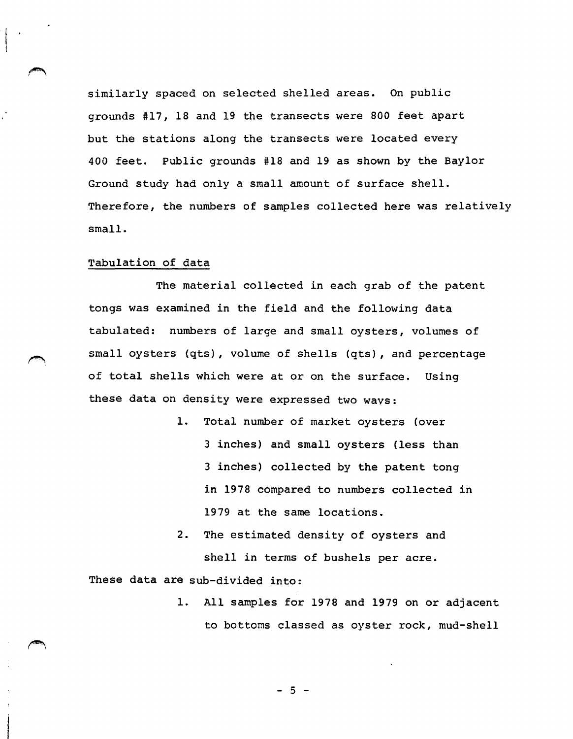similarly spaced on selected shelled areas. On public grounds #17, 18 and 19 the transects were 800 feet apart but the stations along the transects were located every 400 feet. Public grounds #18 and 19 as shown by the Baylor Ground study had only a small amount of surface shell. Therefore, the numbers of samples collected here was relatively small.

#### Tabulation of data

The material collected in each grab of the patent tongs was examined in the field and the following data tabulated: numbers of large and small oysters, volumes of small oysters (qts), volume of shells (qts), and percentage of total shells which were at or on the surface. Using these data on density were expressed two wavs:

- 1. Total number of market oysters (over 3 inches) and small oysters (less than 3 inches) collected by the patent tong *in* 1978 compared to numbers collected in 1979 at the same locations.
- 2. The estimated density of oysters and shell in terms of bushels per acre.

These data are sub-divided into:

1. All samples for 1978 and 1979 on or adjacent to bottoms classed as oyster rock, mud-shell

- 5 -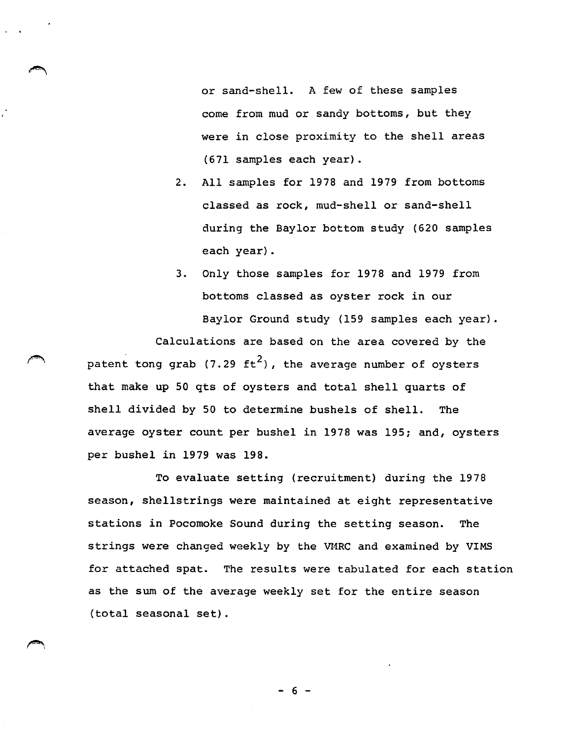or sand-shell. A few of these samples come from mud or sandy bottoms, but they were in close proximity to the shell areas (671 samples each year).

- 2. All samples for 1978 and 1979 from bottoms classed as rock, mud-shell or sand-shell during the Baylor bottom study (620 samples each year).
- 3. Only those samples for 1978 and 1979 from bottoms classed as oyster rock in our Baylor Ground study (159 samples each year).

Calculations are based on the area covered by the patent tong grab (7.29  $\text{ft}^2$ ), the average number of oysters that make up 50 qts of oysters and total shell quarts of shell divided by 50 to determine bushels of shell. The average oyster count per bushel in 1978 was 195; and, oysters per bushel in 1979 was 198.

To evaluate setting (recruitment) during the 1978 season, shellstrings were maintained at eight representative stations in Pocomoke Sound during the setting season. The strings were changed weekly by the VMRC and examined by VIMS for attached spat. The results were tabulated for each station as the sum of the average weekly set for the entire season (total seasonal set).

- 6 -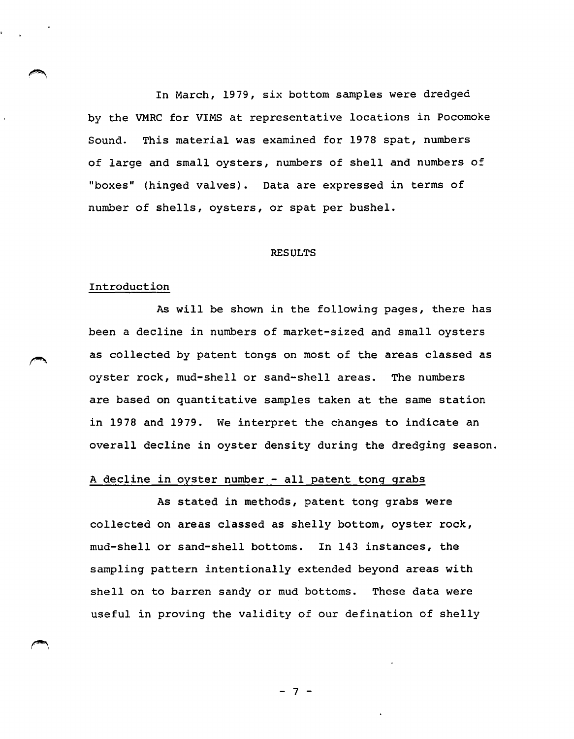In March, 1979, six bottom samples were dredged by the VMRC for VIMS at representative locations in Pocomoke Sound. This material was examined for 1978 spat, numbers of large and small oysters, numbers of shell and numbers of "boxes" (hinged valves). Data are expressed in terms of number of shells, oysters, or spat per bushel.

#### **RESULTS**

#### Introduction

As will be shown in the following pages, there has been a decline in numbers of market-sized and small oysters as collected by patent tongs on most of the areas classed as oyster rock, mud-shell or sand-shell areas. The numbers are based on quantitative samples taken at the same station in 1978 and 1979. We interpret the changes to indicate an overall decline in oyster density during the dredging season.

## A decline in oyster number - all patent tong grabs

As stated in methods, patent tong grabs were collected on areas classed as shelly bottom, oyster rock, mud-shell or sand-shell bottoms. In 143 instances, the sampling pattern intentionally extended beyond areas with shell on to barren sandy or mud bottoms. These data were useful in proving the validity of our defination of shelly

 $7<sup>-1</sup>$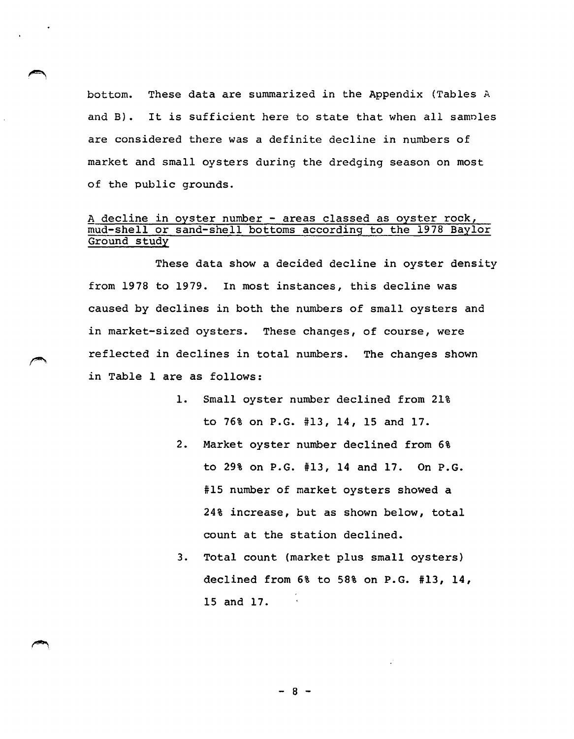bottom. These data are summarized in the Appendix (Tables <sup>A</sup> and B). It is sufficient here to state that when all samnles are considered there was a definite decline in numbers of market and small oysters during the dredging season on most of the public grounds.

### A decline in oyster number - areas classed as oyster rock, mud-shell or sand-shell bottoms according to the 1978 Baylor Ground study

These data show a decided decline in oyster density from 1978 to 1979. In most instances, this decline was caused by declines in both the numbers of small oysters and in market-sized oysters. These changes, of course, were reflected in declines in total numbers. The changes shown *in* Table 1 are as follows:

- 1. Small oyster number declined from 21% to 76% on P.G. #13, 14, 15 and 17.
- 2. Market oyster number declined from 6% to 29% on P.G. #13, 14 and 17. On P.G. #15 number of market oysters showed a 24% increase, but as shown below, total count at the station declined.
- 3. Total count (market plus small oysters) declined from 6% to 58% on P.G. #13, 14, 15 and 17.

- 8 -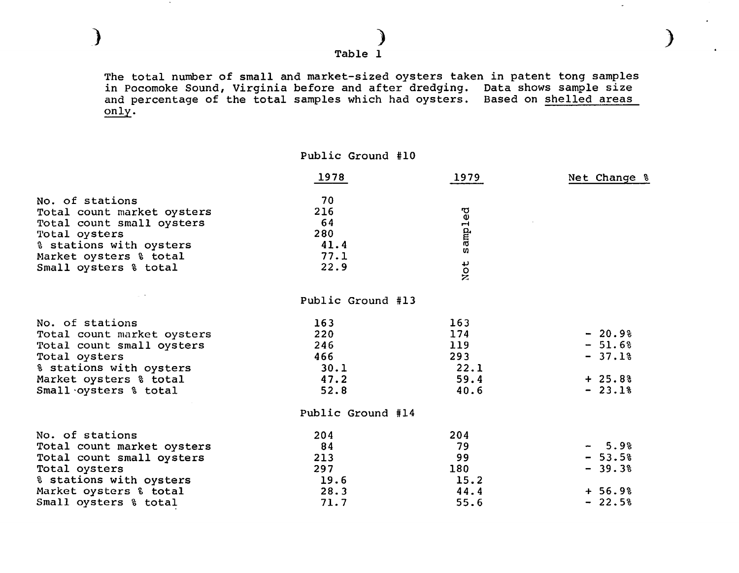Table 1

) )

The total number of small and market-sized oysters taken in patent tong samples in Pocomoke Sound, Virginia before and after dredging. Data shows sample size and percentage of the total samples which had oysters. Based on shelled areas only.

)

| 1978 | 1979                        | Net Change %                                                                         |
|------|-----------------------------|--------------------------------------------------------------------------------------|
| 70   |                             |                                                                                      |
| 216  |                             |                                                                                      |
| 64   |                             |                                                                                      |
|      |                             |                                                                                      |
|      |                             |                                                                                      |
|      |                             |                                                                                      |
|      |                             |                                                                                      |
|      |                             |                                                                                      |
|      |                             |                                                                                      |
| 163  | 163                         |                                                                                      |
| 220  | 174                         | $-20.9%$                                                                             |
| 246  | 119                         | $-51.6%$                                                                             |
| 466  | 293                         | $-37.1%$                                                                             |
| 30.1 | 22.1                        |                                                                                      |
| 47.2 | 59.4                        | $+25.8%$                                                                             |
| 52.8 | 40.6                        | $-23.1%$                                                                             |
|      |                             |                                                                                      |
| 204  |                             |                                                                                      |
| 84   | 79                          | $-5.98$                                                                              |
| 213  | 99                          | $-53.5%$                                                                             |
| 297  | 180                         | $-39.3%$                                                                             |
| 19.6 | 15.2                        |                                                                                      |
| 28.3 | 44.4                        | $+ 56.9%$                                                                            |
| 71.7 | 55.6                        | $-22.5%$                                                                             |
|      | 280<br>41.4<br>77.1<br>22.9 | Public Ground #10<br>sampled<br>Not<br>Public Ground #13<br>Public Ground #14<br>204 |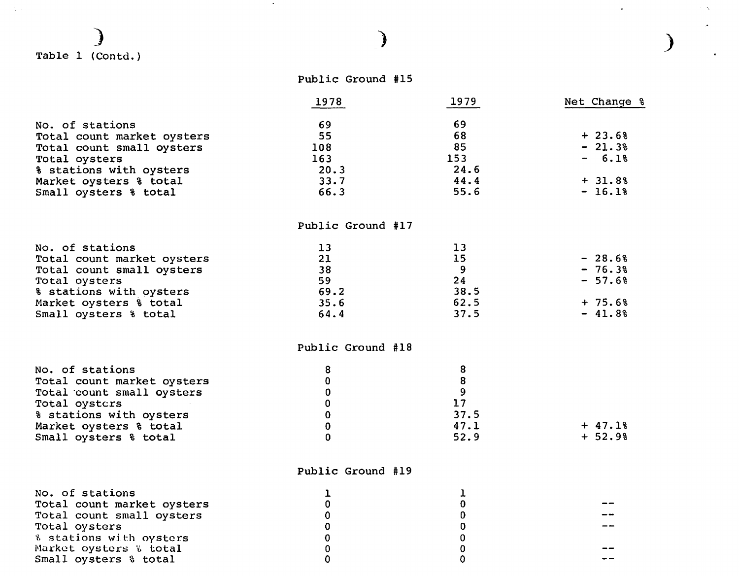## ) Table 1 (Contd.)

 $\mathcal{L}(\mathcal{A})$ 

|  | Public Ground #15 |  |
|--|-------------------|--|
|--|-------------------|--|

)

*)* 

 $\gamma_{\rm{c}}$ 

 $\omega_{\rm c}$ 

|                            | 1978              | 1979                                  | Net Change % |
|----------------------------|-------------------|---------------------------------------|--------------|
| No. of stations            | 69                | 69                                    |              |
| Total count market oysters | 55                | 68                                    | $+23.6%$     |
| Total count small oysters  | 108               | 85                                    | $-21.3%$     |
| Total oysters              | 163               | 153                                   | $-6.1%$      |
| % stations with oysters    | 20.3              | 24.6                                  |              |
| Market oysters & total     | 33.7              | 44.4                                  | $+ 31.8%$    |
| Small oysters % total      | 66.3              | 55.6                                  | $-16.18$     |
|                            | Public Ground #17 |                                       |              |
| No. of stations            | 13                | 13                                    |              |
| Total count market oysters | 21                | 15                                    | $-28.6%$     |
| Total count small oysters  | 38                | 9                                     | $-76.3%$     |
| Total oysters              | 59                | 24                                    | $-57.6%$     |
| % stations with oysters    | 69.2              | 38.5                                  |              |
| Market oysters & total     | 35.6              | 62.5                                  | $+ 75.6%$    |
| Small oysters % total      | 64.4              | 37.5                                  | $-41.8%$     |
|                            | Public Ground #18 |                                       |              |
| No. of stations            | 8                 | 8                                     |              |
| Total count market oysters | $\bf{0}$          | $\begin{array}{c} 8 \\ 9 \end{array}$ |              |
| Total count small oysters  | 0                 |                                       |              |
| Total oysters              | 0                 | 17                                    |              |
| & stations with oysters    | $\mathbf 0$       | 37.5                                  |              |
| Market oysters & total     | $\mathbf 0$       | 47.1                                  | $+ 47.1%$    |
| Small oysters & total      | $\mathbf 0$       | 52.9                                  | $+ 52.98$    |

## Public Ground #19

| No. of stations            |  |    |
|----------------------------|--|----|
| Total count market oysters |  |    |
| Total count small oysters  |  | -- |
| Total oysters              |  |    |
| % stations with oysters    |  |    |
| Market oysters % total     |  |    |
| Small oysters & total      |  |    |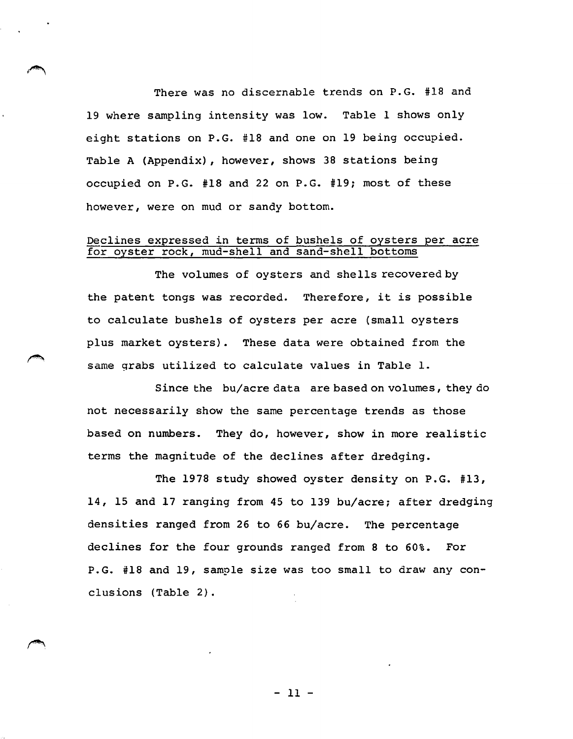There was no discernable trends on P.G. #18 and 19 where sampling intensity was low. Table 1 shows only eight stations on P.G. #18 and one on 19 being occupied. Table A (Appendix), however, shows 38 stations being occupied on P.G. #18 and 22 on P.G. #19; most of these however, were on mud or sandy bottom.

#### Declines expressed in terms of bushels of oysters per acre for oyster rock, mud-shell and sand-shell bottoms

The volumes of oysters and shells recovered by the patent tongs was recorded. Therefore, it is possible to calculate bushels of oysters per acre (small oysters plus market oysters). These data were obtained from the same grabs utilized to calculate values in Table 1.

Since the bu/acre data are based on volumes, they do not necessarily show the same percentage trends as those based on numbers. They do, however, show in more realistic terms the magnitude of the declines after dredging.

The 1978 study showed oyster density on P.G. #13, 14, 15 and 17 ranging from 45 to 139 bu/acre; after dredging densities ranged from 26 to 66 bu/acre. The percentage declines for the four grounds ranged from 8 to 60%. For P.G. #18 and 19, sample size was too small to draw any conclusions (Table 2).

- 11 -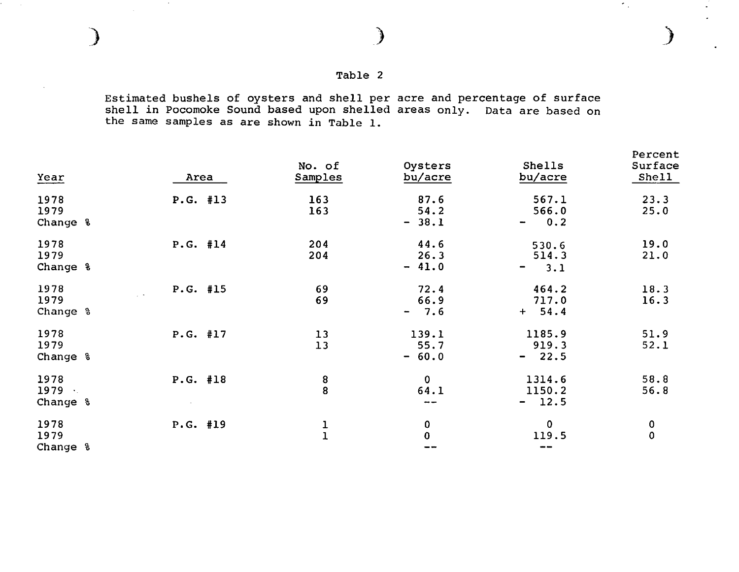$\sim 10^{-1}$ 

Estimated bushels of oysters and shell per acre and percentage of surface shell in Pocomoke Sound based upon shelled areas only. Data are based on the same samples as are shown *in* Table 1.

| Year                     | Area               | No. of<br><b>Samples</b>              | Oysters<br>bu/acre        | Shells<br>bu/acre                       | Percent<br>Surface<br>Shell |
|--------------------------|--------------------|---------------------------------------|---------------------------|-----------------------------------------|-----------------------------|
| 1978<br>1979<br>Change & | P.G. #13           | 163<br>163                            | 87.6<br>54.2<br>$-38.1$   | 567.1<br>566.0<br>0.2<br>$\blacksquare$ | 23.3<br>25.0                |
| 1978<br>1979<br>Change % | P.G. #14           | 204<br>204                            | 44.6<br>26.3<br>$-41.0$   | 530.6<br>514.3<br>3.1<br>Ξ.             | 19.0<br>21.0                |
| 1978<br>1979<br>Change % | P.G. #15<br>$\sim$ | 69<br>69                              | 72.4<br>66.9<br>$-7.6$    | 464.2<br>717.0<br>$+ 54.4$              | 18.3<br>16.3                |
| 1978<br>1979<br>Change % | P.G. #17           | 13<br>13                              | 139.1<br>55.7<br>$-60.0$  | 1185.9<br>919.3<br>$-22.5$              | 51.9<br>52.1                |
| 1978<br>1979<br>Change & | P.G. #18           | $\begin{array}{c} 8 \\ 8 \end{array}$ | $\mathbf 0$<br>64.1<br>-- | 1314.6<br>1150.2<br>$-12.5$             | 58.8<br>56.8                |
| 1978<br>1979<br>Change % | $P.G.$ #19         | $\frac{1}{1}$                         | 0<br>$\bf{0}$             | $\mathbf 0$<br>119.5                    | 0<br>$\mathbf 0$            |

 $\gamma_{\rm{eff}}$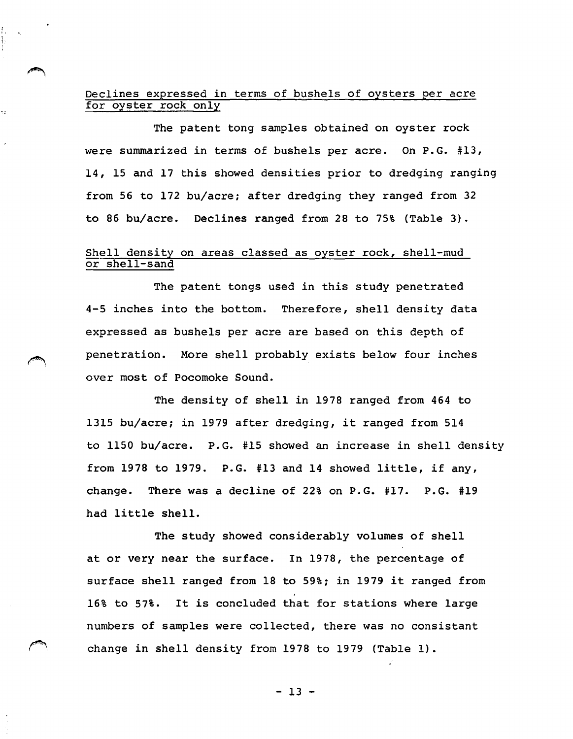### Declines expressed in terms of bushels of oysters per acre for oyster rock only

The patent tong samples obtained on oyster rock were summarized in terms of bushels per acre. On P.G. #13, 14, 15 and 17 this showed densities prior to dredging ranging from 56 to 172 bu/acre; after dredging they ranged from 32 to 86 bu/acre. Declines ranged from 28 to 75% (Table 3).

#### Shell density on areas classed as oyster rock, shell-mud or shell-sand

The patent tongs used in this study penetrated 4-5 inches into the bottom. Therefore, shell density data expressed as bushels per acre are based on this depth of penetration. More shell probably exists below four inches over most of Pocomoke Sound.

The density of shell in 1978 ranged from 464 to 1315 bu/acre; in 1979 after dredging, it ranged from 514 to 1150 bu/acre. P.G. #15 showed an increase in shell density from 1978 to 1979. P.G. #13 and 14 showed little, if any, change. There was a decline of 22% on P.G. #17. P.G. #19 had little shell.

The study showed considerably volumes of shell at or very near the surface. In 1978, the percentage of surface shell ranged from 18 to 59%; in 1979 it ranged from 16% to 57%. It is concluded that for stations where large numbers of samples were collected, there was no consistant change in shell density from 1978 to 1979 (Table 1).

- 13 -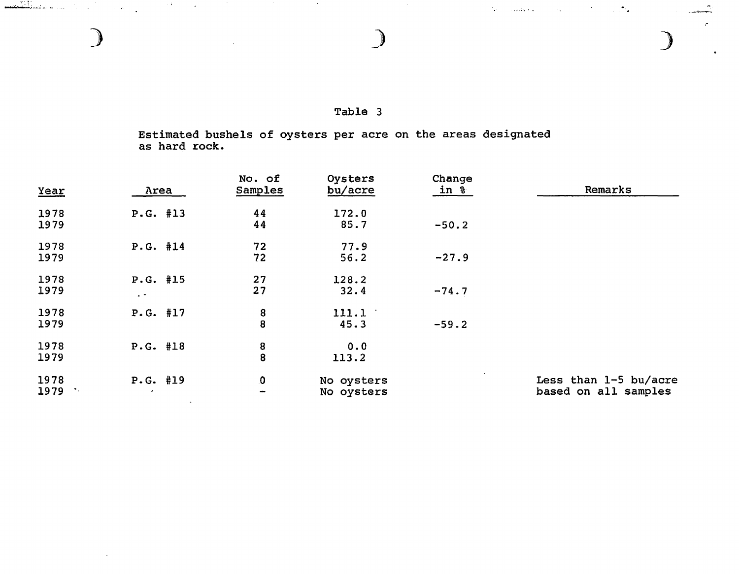## Table 3

)

 $\hat{\bullet}$ 

 $\mathcal{A}(\mathbf{z})$  . The distribution of the set of  $\mathcal{A}(\mathbf{z})$  ,  $\mathcal{A}(\mathbf{z})$  ,  $\mathcal{A}(\mathbf{z})$ 

Estimated bushels of oysters per acre as hard rock. on the areas designated

| Year | Area                 | No. of<br>Samples                     | Oysters<br>bu/acre | Change<br><u>in 8</u> | Remarks               |
|------|----------------------|---------------------------------------|--------------------|-----------------------|-----------------------|
| 1978 | P.G. #13             | 44                                    | 172.0              |                       |                       |
| 1979 |                      | 44                                    | 85.7               | $-50.2$               |                       |
| 1978 | P.G. #14             | 72                                    | 77.9               |                       |                       |
| 1979 |                      | 72                                    | 56.2               | $-27.9$               |                       |
| 1978 | P.G. #15             | 27                                    | 128.2              |                       |                       |
| 1979 | $\ddot{\phantom{1}}$ | 27                                    | 32.4               | $-74.7$               |                       |
| 1978 | P.G. #17             |                                       | 111.1              |                       |                       |
| 1979 |                      | $\begin{array}{c} 8 \\ 8 \end{array}$ | 45.3               | $-59.2$               |                       |
| 1978 | P.G. #18             |                                       | 0.0                |                       |                       |
| 1979 |                      | $\begin{array}{c} 8 \\ 8 \end{array}$ | 113.2              |                       |                       |
| 1978 | P.G. #19             | 0                                     | No oysters         |                       | Less than 1-5 bu/acre |
| 1979 | ٠                    | $\overline{\phantom{a}}$              | No oysters         |                       | based on all samples  |

)

 $\sim$ 

and the state of the

 $\mathcal{L}$ 

. ,•\ .. -..............,.\_.\_\_\_ ~· ·-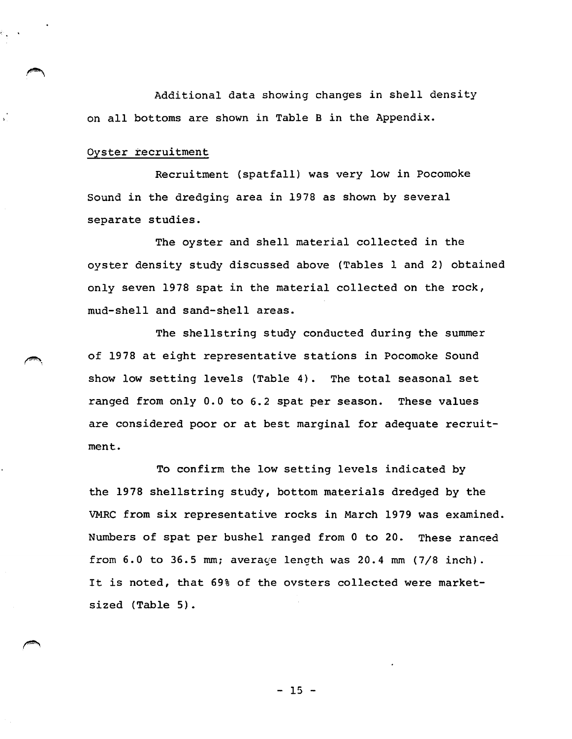Additional data showing changes in shell density on all bottoms are shown in Table Bin the Appendix.

#### Oyster recruitment

.~

Recruitment {spatfall) was very low in Pocomoke Sound in the dredging area in 1978 as shown by several separate studies.

The oyster and shell material collected in the oyster density study discussed above {Tables 1 and 2) obtained only seven 1978 spat in the material collected on the rock, mud-shell and sand-shell areas.

The shellstring study conducted during the summer of 1978 at eight representative stations in Pocomoke Sound show low setting levels {Table 4). The total seasonal set ranged from only 0.0 to 6.2 spat per season. These values are considered poor or at best marginal for adequate recruitment.

To confirm the low setting levels indicated by the 1978 shellstring study, bottom materials dredged by the VMRC from six representative rocks in March 1979 was examined. Numbers of spat per bushel ranged from 0 to 20. These ranged from  $6.0$  to  $36.5$  mm; average length was  $20.4$  mm  $(7/8$  inch). It is noted, that 69% of the ovsters collected were marketsized (Table 5).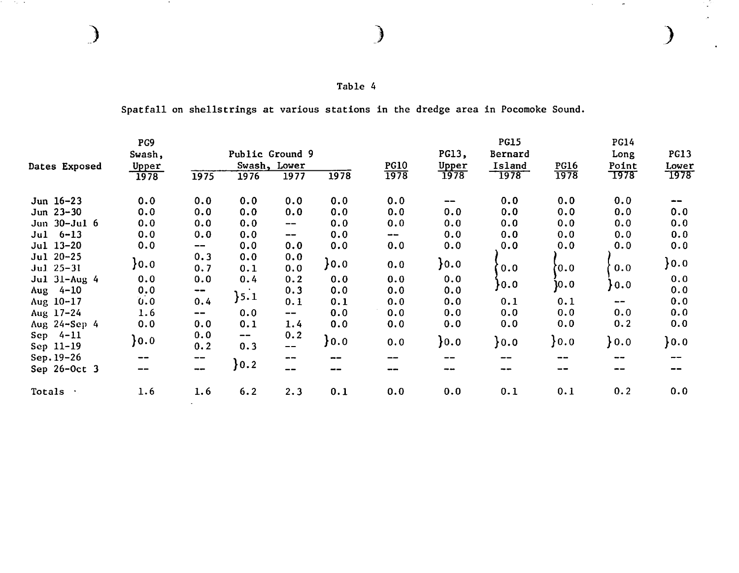| Table |  |  |
|-------|--|--|
|-------|--|--|

 $\sim 7.2 \times 10^{-4}$ 

 $\sim$ 

Spatfall on shellstrings at various stations in the dredge area in Pocomoke Sound.

|                          | PG9            |                                       |                                 |                                       |        |                          |          | <b>PG15</b> |             | <b>PG14</b> |             |
|--------------------------|----------------|---------------------------------------|---------------------------------|---------------------------------------|--------|--------------------------|----------|-------------|-------------|-------------|-------------|
|                          | Swash,         |                                       | Public Ground 9                 |                                       |        |                          | PG13,    | Bernard     |             | Long        | <b>PG13</b> |
| Dates Exposed            | Upper          |                                       |                                 | Swash, Lower                          |        | <b>PG10</b>              | Upper    | Island      | <b>PG16</b> | Point       | Lower       |
|                          | 1978           | 1975                                  | 1976                            | 1977                                  | 1978   | 1978                     | 1978     | 1978        | 1978        | 1978        | 1978        |
| Jun $16 - 23$            | 0.0            | 0.0                                   | 0.0                             | 0.0                                   | 0.0    | 0.0                      | $- -$    | 0.0         | 0.0         | 0.0         | --          |
| Jun $23 - 30$            | 0.0            | 0.0                                   | 0.0                             | 0.0                                   | 0.0    | 0.0                      | 0.0      | 0.0         | 0.0         | 0.0         | 0.0         |
| Jun 30-Jul 6             | 0.0            | 0.0                                   | 0.0                             | $\hspace{0.05cm} \ldots$              | 0.0    | 0.0                      | 0.0      | 0.0         | 0.0         | 0.0         | 0.0         |
| $Jul 6-13$               | 0.0            | 0.0                                   | 0.0                             | $\hspace{0.05cm} \textbf{--}$         | 0.0    | $\overline{\phantom{m}}$ | 0.0      | 0.0         | 0.0         | 0.0         | 0.0         |
| Jul 13-20                | 0.0            | $\hspace{0.05cm}$ – $\hspace{0.05cm}$ | 0.0                             | 0.0                                   | 0.0    | 0.0                      | 0.0      | 0.0         | 0.0         | 0.0         | 0.0         |
| Jul 20-25<br>$Jul$ 25-31 | $\}$ 0.0       | 0.3<br>0.7                            | 0.0<br>0.1                      | 0.0<br>0.0                            | $}0.0$ | 0.0                      | $\}$ 0.0 | 0.0         | 0.0         | 0.0         | }0.0        |
| Jul 31-Aug 4             | 0.0            | 0.0                                   | 0.4                             | 0.2                                   | 0.0    | 0.0                      | 0.0      |             |             |             | 0.0         |
| Aug $4-10$               | 0.0            | --                                    |                                 | 0.3                                   | 0.0    | 0.0                      | 0.0      | }0.0        | 10.0        | }0.0        | 0.0         |
| Aug 10-17                | 0.0            | 0.4                                   | }5.1                            | 0.1                                   | 0.1    | 0.0                      | 0.0      | 0.1         | 0.1         | --          | 0.0         |
| Aug 17-24                | 1.6            | $\overline{\phantom{m}}$              | 0.0                             | $\hspace{0.05cm}$ – $\hspace{0.05cm}$ | 0.0    | 0.0                      | 0.0      | 0.0         | 0.0         | 0.0         | 0.0         |
| Aug 24-Sep 4             | 0.0            | 0.0                                   | 0.1                             | 1.4                                   | 0.0    | 0.0                      | 0.0      | 0.0         | 0.0         | 0.2         | 0.0         |
| Sep $4-11$<br>Sep 11-19  | $\mathbf{0.0}$ | 0.0<br>0.2                            | $\overline{\phantom{m}}$<br>0.3 | 0.2<br>$- -$                          | $}0.0$ | 0.0                      | $}0.0$   | $}0.0$      | $}0.0$      | $\}$ 0.0    | $}0.0$      |
| Sep. 19-26               |                | --                                    |                                 | $\qquad \qquad \cdots$                | --     |                          | --       |             | --          | --          |             |
| Sep 26-Oct 3             |                | $\qquad \qquad \cdots$                | $}0.2$                          | $-$                                   | --     | --                       | --       | --          | --          | --          |             |
| Totals                   | 1.6            | 1.6                                   | 6.2                             | 2.3                                   | 0.1    | 0.0                      | 0.0      | 0.1         | 0.1         | 0.2         | 0.0         |

 $)$  ) ) is a set of  $)$ 

 $\Delta \phi$ 

 $\sim 100$ 

14)<br>1

 $\ddot{\phantom{a}}$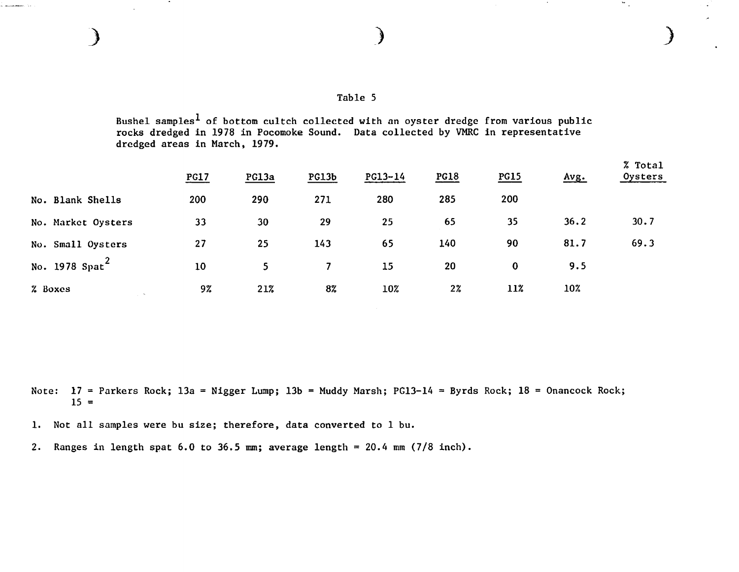*)* 

 $\mathcal{L}_{\mathcal{A}}$ 

Bushel samples<sup>1</sup> of bottom cultch collected with an oyster dredge from various public rocks dredged in 1978 in Pocomoke Sound. Data collected by VMRC in representative dredged areas in March, 1979.

|                    | PG17 | PG13a | <b>PG13b</b> | PG13-14 | <b>PG18</b> | <b>PG15</b> | Avg. | % Total<br>Oysters |
|--------------------|------|-------|--------------|---------|-------------|-------------|------|--------------------|
| No. Blank Shells   | 200  | 290   | 271          | 280     | 285         | 200         |      |                    |
| No. Market Oysters | 33   | 30    | 29           | 25      | 65          | 35          | 36.2 | 30.7               |
| No. Small Oysters  | 27   | 25    | 143          | 65      | 140         | 90          | 81.7 | 69.3               |
| No. 1978 $Spat^2$  | 10   | 5     | 7            | 15      | 20          | $\bf{0}$    | 9.5  |                    |
| % Boxes<br>$\sim$  | 9%   | 21%   | 8%           | 10%     | $2\%$       | 11%         | 10%  |                    |

Note: 17 = Parkers Rock; 13a = Nigger Lump; 13b = Muddy Marsh; PG13-14 = Byrds Rock; 18 = Onancock Rock;  $15 =$ 

1. Not all samples were bu size; therefore, data converted to 1 bu.

2. Ranges in length spat  $6.0$  to  $36.5$  mm; average length = 20.4 mm (7/8 inch).

) and the contract of  $\overline{\phantom{a}}$ 

أدوار ومعصمتين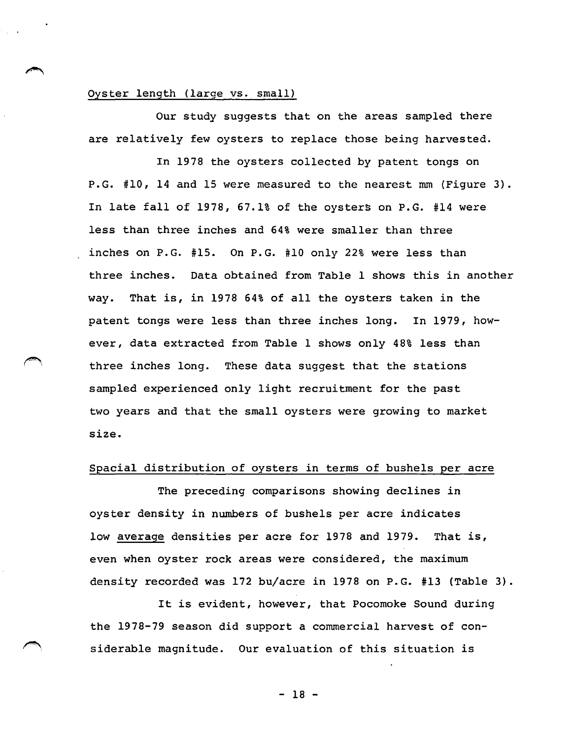#### Oyster length (large vs. small)

Our study suggests that on the areas sampled there are relatively few oysters to replace those being harvested.

In 1978 the oysters collected by patent tongs on P.G. #10, 14 and 15 were measured to the nearest mm (Figure 3). In late fall of 1978, 67.1% of the oysters on P.G. #14 were less than three inches and 64% were smaller than three inches on P.G. #15. On P.G. #10 only 22% were less than three inches. Data obtained from Table 1 shows this in another way. That is, in 1978 64% of all the oysters taken in the patent tongs were less than three inches long. In 1979, however, data extracted from Table 1 shows only 48% less than three inches long. These data suggest that the stations sampled experienced only light recruitment for the past two years and that the small oysters were growing to market size.

#### Spacial distribution of oysters in terms of bushels per acre

The preceding comparisons showing declines in oyster density in numbers of bushels per acre indicates low average densities per acre for 1978 and 1979. That is, even when oyster rock areas were considered, the maximum density recorded was 172 bu/acre in 1978 on P.G. #13 (Table 3).

It is evident, however, that Pocomoke Sound during the 1978-79 season did support a commercial harvest of con siderable magnitude. Our evaluation of this situation is

- 18 -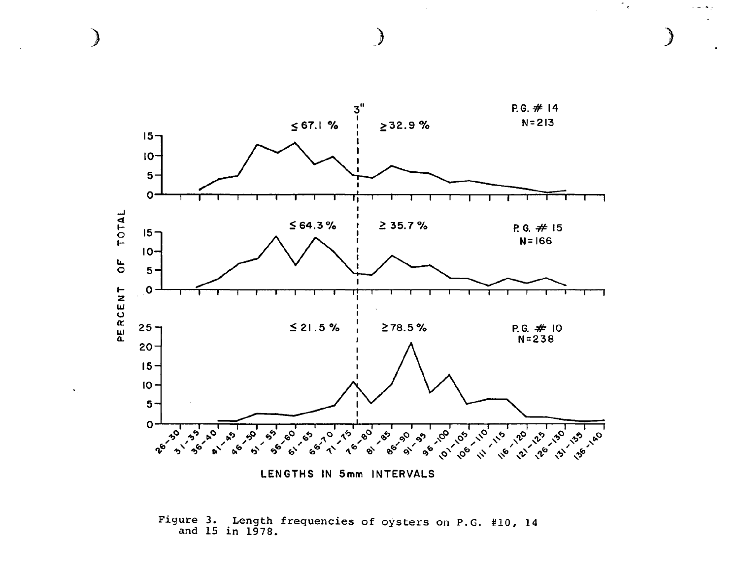

€

Figure 3. Length frequencies of oysters on P.G. #10, 14 and 15 in 1978.

÷.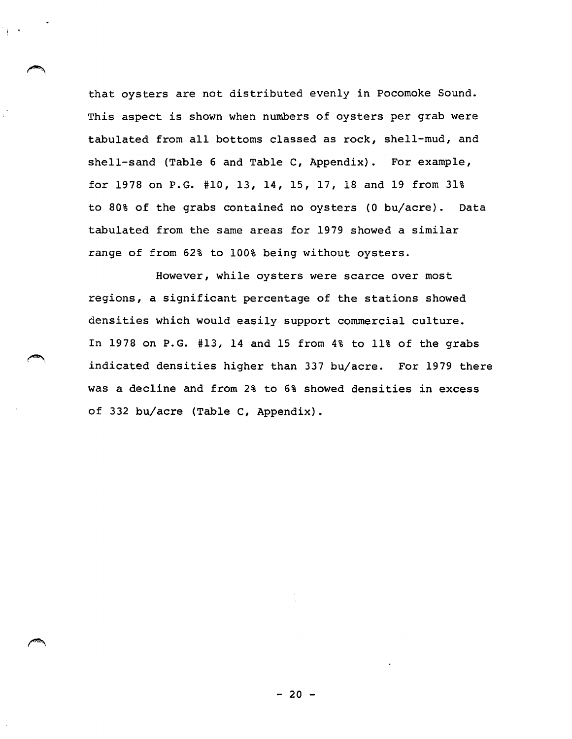that oysters are not distributed evenly in Pocomoke Sound. This aspect is shown when numbers of oysters per grab were tabulated from all bottoms classed as rock, shell-mud, and shell-sand (Table 6 and Table C, Appendix). For example, for 1978 on P.G. #10, 13, 14, 15, 17, 18 and 19 from 31% to 80% of the grabs contained no oysters (0 bu/acre). Data tabulated from the same areas for 1979 showed a similar range of from 62% to 100% being without oysters.

! •

,-., • I

However, while oysters were scarce over most regions, a significant percentage of the stations showed densities which would easily support commercial culture. In 1978 on P.G. #13, 14 and 15 from 4% to 11% of the grabs indicated densities higher than 337 bu/acre. For 1979 there was a decline and from 2% to 6% showed densities in excess of 332 bu/acre (Table c, Appendix).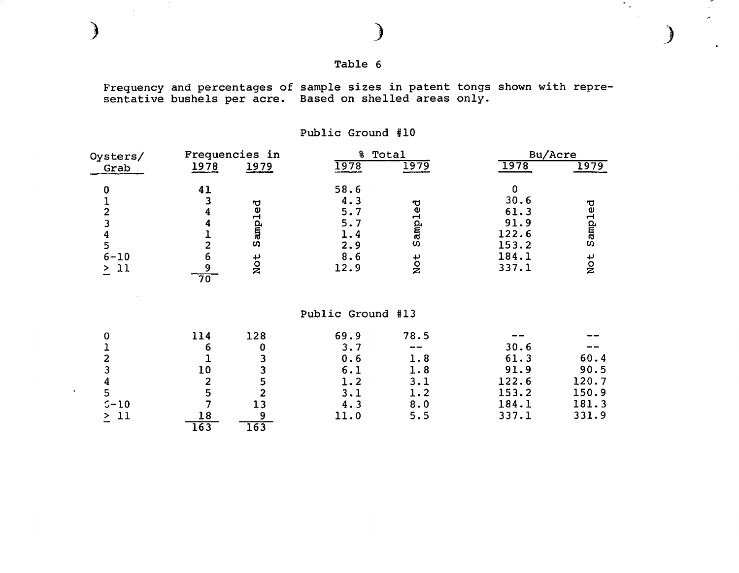| Table |  |  |
|-------|--|--|
|       |  |  |

 $\sigma_{\rm{max}}$ 

 $\mathbf{r}$ 

 $\sim 100$ 

J

Frequency and percentages of sample sizes in patent tongs shown with repre-<br>sentative bushels per acre. Based on shelled areas only.

| Oysters/                                  | Frequencies in       |                         | 욯                 | Total  | Bu/Acre |         |  |
|-------------------------------------------|----------------------|-------------------------|-------------------|--------|---------|---------|--|
| Grab                                      | 1978                 | 1979                    | <u>1978</u>       | 1979   | 1978    | 1979    |  |
| $\bf{0}$                                  | 41                   |                         | 58.6              |        | 0       |         |  |
|                                           | 3                    |                         | 4.3               |        | 30.6    |         |  |
| 12345                                     | 4                    | Sampled                 | 5.7               | ampled | 61.3    | Sampled |  |
|                                           | 4                    |                         | 5.7               |        | 91.9    |         |  |
|                                           | ı                    |                         | 1.4               |        | 122.6   |         |  |
|                                           | $\overline{c}$       |                         | 2.9               | ΩŌ     | 153.2   |         |  |
| $6 - 10$                                  | 6                    | Not                     | 8.6               | Not    | 184.1   | Not     |  |
| $\geq$ 11                                 | 9<br>$\overline{70}$ |                         | 12.9              |        | 337.1   |         |  |
|                                           |                      |                         |                   |        |         |         |  |
|                                           |                      |                         | Public Ground #13 |        |         |         |  |
| $\bf{0}$                                  | 114                  | 128                     | 69.9              | 78.5   |         |         |  |
|                                           | 6                    | 0                       | 3.7               |        | 30.6    |         |  |
| $\frac{1}{2}$ $\frac{3}{4}$ $\frac{4}{5}$ |                      | 3                       | 0.6               | 1.8    | 61.3    | 60.4    |  |
|                                           | 10                   | 3                       | 6.1               | 1.8    | 91.9    | 90.5    |  |
|                                           | $\overline{2}$       | 5                       | 1.2               | 3.1    | 122.6   | 120.7   |  |
|                                           | 5                    | $\overline{\mathbf{c}}$ | 3.1               | 1.2    | 153.2   | 150.9   |  |
| $5 - 10$                                  | 7                    | 13                      | 4.3               | 8.0    | 184.1   | 181.3   |  |
| 11<br>$\geq$                              | 18                   | 9                       | 11.0              | 5.5    | 337.1   | 331.9   |  |
|                                           | 163                  | $\overline{163}$        |                   |        |         |         |  |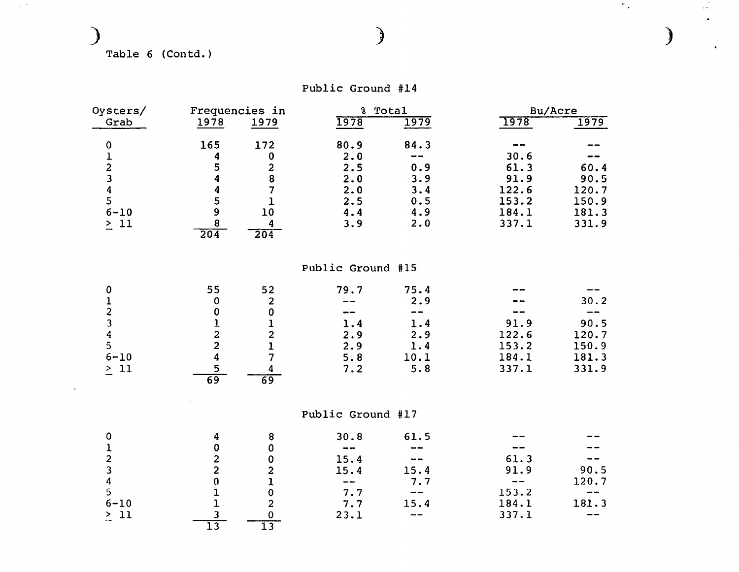## Table 6 (Contd.)

 $\mathcal{L}^{(1)}$  .

 $\bullet$ 

|  | Public Ground #14 |  |
|--|-------------------|--|
|--|-------------------|--|

| Oysters/ |                  | Frequencies in |      | % Total    |       | Bu/Acre |  |
|----------|------------------|----------------|------|------------|-------|---------|--|
| Grab     | 1978             | 1979           | 1978 | 1979       | 1978  | 1979    |  |
|          | 165              | 172            | 80.9 | 84.3       |       |         |  |
|          |                  |                | 2.0  | $\sim$ $-$ | 30.6  |         |  |
|          |                  |                | 2.5  | 0.9        | 61.3  | 60.4    |  |
|          |                  |                | 2.0  | 3.9        | 91.9  | 90.5    |  |
|          |                  |                | 2.0  | 3.4        | 122.6 | 120.7   |  |
|          |                  |                | 2.5  | 0.5        | 153.2 | 150.9   |  |
| $6 - 10$ |                  | 10             | 4.4  | 4.9        | 184.1 | 181.3   |  |
| 11       | $\overline{204}$ | 204            | 3.9  | 2.0        | 337.1 | 331.9   |  |

Public Ground #15

| $\bf{0}$         | 55 | 52 | 79.7  | 75.4 | --    |       |
|------------------|----|----|-------|------|-------|-------|
|                  | 0  | 2  | $- -$ | 2.9  | $- -$ | 30.2  |
|                  |    |    | $- -$ | --   |       |       |
|                  |    |    | 1.4   | 1.4  | 91.9  | 90.5  |
| $\boldsymbol{A}$ |    | 2  | 2.9   | 2.9  | 122.6 | 120.7 |
| 5                |    |    | 2.9   | 1.4  | 153.2 | 150.9 |
| $6 - 10$         |    |    | 5.8   | 10.1 | 184.1 | 181.3 |
| >11              |    |    | 7.2   | 5.8  | 337.1 | 331.9 |
|                  | 69 | 69 |       |      |       |       |

Public Ground #17

|            | 4   | 8 | 30.8                       | 61.5          |                          |       |
|------------|-----|---|----------------------------|---------------|--------------------------|-------|
|            |     |   | $\sim$ $\sim$              | $- -$         |                          |       |
|            | 2   |   | 15.4                       | $- -$         | 61.3                     | --    |
|            | 2   |   | 15.4                       | 15.4          | 91.9                     | 90.5  |
|            |     |   | $\overline{\phantom{m}}$ . | 7.7           | $\overline{\phantom{a}}$ | 120.7 |
| 5.         |     |   | 7.7                        | $\frac{1}{2}$ | 153.2                    | $-$   |
| $6 - 10$   |     |   | 7.7                        | 15.4          | 184.1                    | 181.3 |
| >11<br>$-$ |     |   | 23.1                       | $- -$         | 337.1                    | $- -$ |
|            | ר ו |   |                            |               |                          |       |

) ) *)* 

 $\mathcal{L}$ 

 $\mathcal{O}(\mathcal{O}(\log n))$  . Then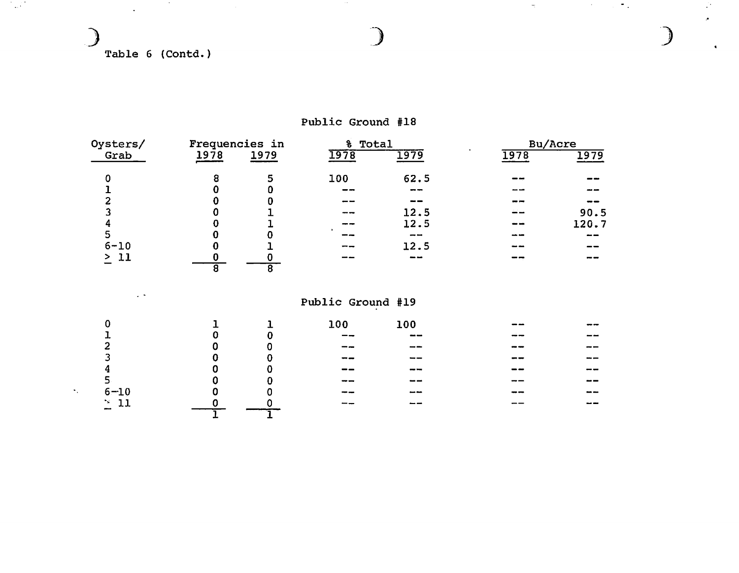Table 6 (Contd.)

 $\mathcal{L}_{\mathcal{A}}$ 

**Contractor** 

الأفيون

| Oysters/      | Frequencies in |      | % Total           |       |      | Bu/Acre |
|---------------|----------------|------|-------------------|-------|------|---------|
| Grab          | 1978           | 1979 | <b>1978</b>       | 1979  | 1978 | 1979    |
| 0             | 8              | 5    | 100               | 62.5  |      |         |
|               |                |      |                   |       |      |         |
| 2             |                |      |                   |       |      |         |
| 3             |                |      |                   | 12.5  |      | 90.5    |
| 4             |                |      |                   | 12.5  |      | 120.7   |
| 5             |                |      |                   | --    |      | --      |
| $6 - 10$      |                |      |                   | 12.5  |      |         |
| -11<br>$\geq$ | 8              | 8    |                   | سد سد |      |         |
| $\sim$ $\sim$ |                |      | Public Ground #19 |       |      |         |

Public Ground #18

 $\sim 100$ 

|                             |                          |   |   | 100   | 100   | $- - -$ |    |
|-----------------------------|--------------------------|---|---|-------|-------|---------|----|
|                             |                          | 0 | 0 | --    | $- -$ |         |    |
|                             | ∍                        |   | 0 | --    | --    | --      |    |
|                             |                          | u | 0 | $- -$ | --    |         |    |
|                             | л<br>v                   |   | U | --    | --    | --      |    |
|                             |                          |   | 0 |       | --    | __      | -- |
| $\mathcal{F}_{\mathcal{A}}$ | $6 - 10$                 |   | 0 |       | --    | --      | -- |
|                             | >11                      |   |   | __    | --    | --      | -- |
|                             | $\overline{\phantom{m}}$ |   |   |       |       |         |    |
|                             |                          |   |   |       |       |         |    |

) and ) is not in ( ) is not in ( ) is not in ( ) is not in ( ) is not in ( ) is not in ( ) is not in ( ) is not in ( ) is not in ( ) is not in ( ) is not in ( ) is not in ( ) is not in ( ) is not in ( ) is not in ( ) is

 $\sigma_{\rm C}$ 

 $\alpha$  ,  $\alpha$  ,  $\alpha$  ,  $\alpha$ 

 $\sigma_{\rm 20}$ 

.•

 $\ddot{\phantom{a}}$ 

 $\mathcal{L}^{\star}$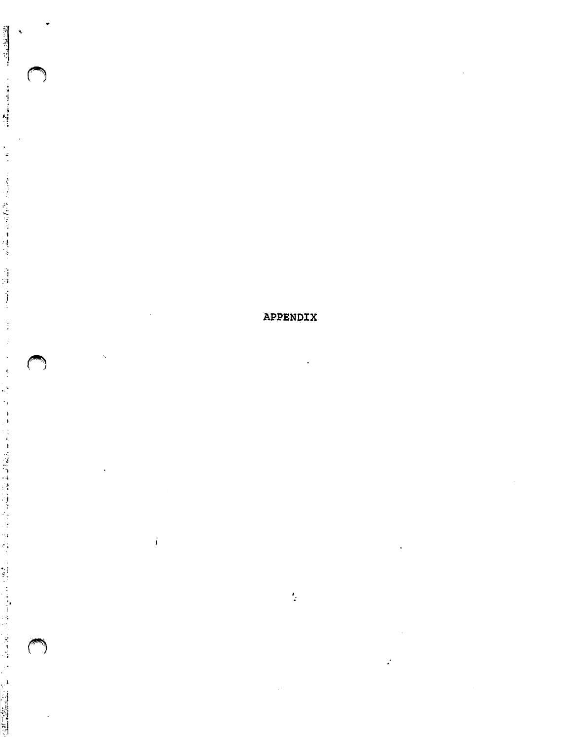## APPENDIX

 $\frac{1}{2}$ 

 $\sim$ 

 $\ddot{\phantom{a}}$ 

 $\ddot{\phantom{a}}$ 

 $\overline{\phantom{a}}$ 

 $\mathcal{L}$ 

 $\mathcal{A}$ 

 $\langle \cdot \rangle$  i

 $\mathcal{A}_{\mathbf{X}}$ 

 $\ddot{\phantom{1}}$ 

 $\mathcal{A}^{\mathcal{A}}$ 

■劉剛相相相は、「大陸相は諸韓信」(「大軍」(1992年1988年1998年1月18日) (1992年10月1日) - 1992年10月1日) - 1992年10月1日 - 1992年10月12日) - 1992年10月

 $\ddot{\phantom{0}}$  $\frac{1}{4}$ 

 $\bigcirc$ 

 $\bigcirc$ 

 $\bigcirc$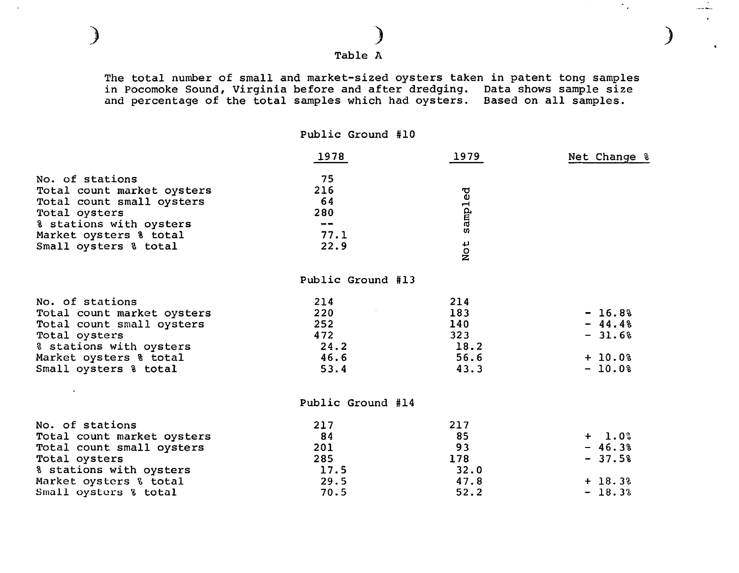Table A

) )

The total number of small and market-sized oysters taken in patent tong samples in Pocomoke Sound, Virginia before and after dredging. Data shows sample size and percentage of the total samples which had oysters. Based on all samples.

*)* 

 $\sigma_{\rm{eff}}$ 

Public Ground #10

|                            | 1978                     | 1979    | Net Change % |
|----------------------------|--------------------------|---------|--------------|
| No. of stations            | 75                       |         |              |
| Total count market oysters | 216                      |         |              |
| Total count small oysters  | 64                       | sampled |              |
| Total oysters              | 280                      |         |              |
| % stations with oysters    | $\overline{\phantom{m}}$ |         |              |
| Market oysters % total     | 77.1                     |         |              |
| Small oysters & total      | 22.9                     | Not     |              |
|                            | Public Ground #13        |         |              |
| No. of stations            | 214                      | 214     |              |
| Total count market oysters | 220                      | 183     | $-16.8%$     |
| Total count small oysters  | 252                      | 140     | $-44.48$     |
| Total oysters              | 472                      | 323     | $-31.6%$     |
| % stations with oysters    | 24.2                     | 18.2    |              |
| Market oysters & total     | 46.6                     | 56.6    | $+ 10.08$    |
| Small oysters & total      | 53.4                     | 43.3    | $-10.0%$     |
|                            | Public Ground #14        |         |              |
| No. of stations            | 217                      | 217     |              |
| Total count market oysters | 84                       | 85      | $+ 1.0%$     |
| Total count small oysters  | 201                      | 93      | $-46.3%$     |
| Total oysters              | 285                      | 178     | $-37.5%$     |
| % stations with oysters    | 17.5                     | 32.0    |              |
| Market oysters & total     | 29.5                     | 47.8    | $+ 18.3%$    |
| Small oysters % total      | 70.5                     | 52.2    | $-18.3%$     |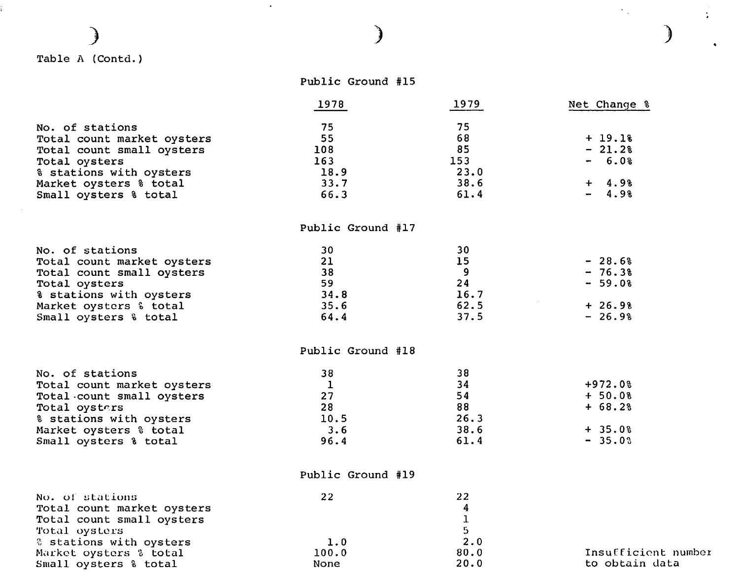# ) Table A (Contd.)

í.

Small oysters% total

## Public Ground #15

 $\mathcal{A}$ 

)

|                                                                                                                                                                           | 1978                                                  | 1979                                           | Net Change %                                               |
|---------------------------------------------------------------------------------------------------------------------------------------------------------------------------|-------------------------------------------------------|------------------------------------------------|------------------------------------------------------------|
| No. of stations<br>Total count market oysters<br>Total count small oysters<br>Total oysters<br>% stations with oysters<br>Market oysters % total<br>Small oysters % total | 75<br>55<br>108<br>163<br>18.9<br>33.7<br>66.3        | 75<br>68<br>85<br>153<br>23.0<br>38.6<br>61.4  | $+ 19.18$<br>$-21.2%$<br>$-6.0%$<br>$+ 4.9%$<br>$-4.98$    |
|                                                                                                                                                                           | Public Ground #17                                     |                                                |                                                            |
| No. of stations<br>Total count market oysters<br>Total count small oysters<br>Total oysters<br>% stations with oysters<br>Market oysters & total<br>Small oysters & total | 30<br>21<br>38<br>59<br>34.8<br>35.6<br>64.4          | 30<br>15<br>9<br>24<br>16.7<br>62.5<br>37.5    | $-28.6%$<br>$-76.3%$<br>$-59.0%$<br>$+26.9%$<br>$-26.9%$   |
|                                                                                                                                                                           | Public Ground #18                                     |                                                |                                                            |
| No. of stations<br>Total count market oysters<br>Total count small oysters<br>Total oysters<br>% stations with oysters<br>Market oysters % total<br>Small oysters % total | 38<br>$\mathbf{1}$<br>27<br>28<br>10.5<br>3.6<br>96.4 | 38<br>34<br>54<br>88<br>26.3<br>38.6<br>61.4   | $+972.0%$<br>$+ 50.0%$<br>$+ 68.2%$<br>$+35.0%$<br>$-35.0$ |
|                                                                                                                                                                           | Public Ground #19                                     |                                                |                                                            |
| No. of stations<br>Total count market oysters<br>Total count small oysters<br>Total oysters<br>& stations with oysters                                                    | 22<br>1.0                                             | 22<br>4<br>${\bf 1}$<br>$5\overline{)}$<br>2.0 |                                                            |
| Market oysters % total                                                                                                                                                    | 100.0                                                 | 80.0                                           | Insufficio                                                 |

None

20.0

Insufficient number to obtain data

)

 $\ddot{\phantom{a}}$ 

 $\ddot{\bullet}$ 

 $\mathcal{F}^{\text{max}}_{\text{max}}$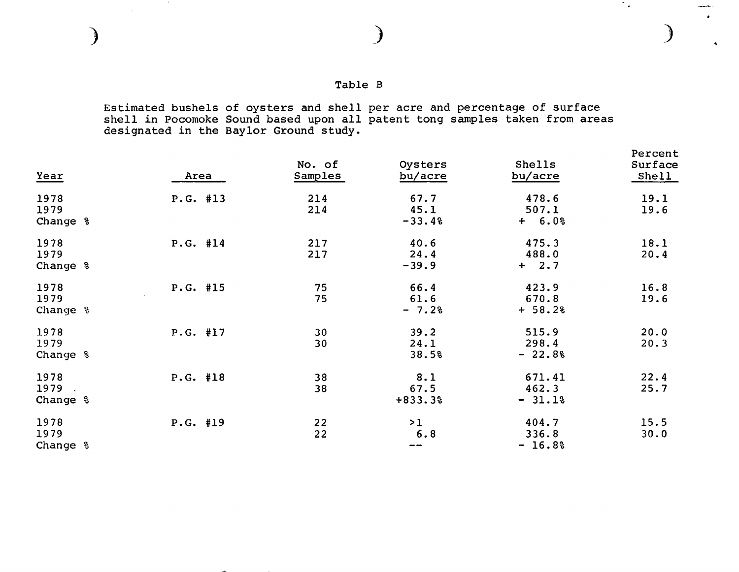$\sim$   $\sim$ 

## Table B

 $\mathcal{L}_{\text{max}}$ 

 $\overline{a}$ 

Estimated bushels of oysters and shell per acre and percentage of surface shell in Pocomoke Sound based upon all patent tong samples taken from areas designated in the Baylor Ground study.

| Year                     | Area     | No. of<br>Samples | Oysters<br>bu/acre       | Shells<br>bu/acre           | Percent<br>Surface<br>Shell |
|--------------------------|----------|-------------------|--------------------------|-----------------------------|-----------------------------|
| 1978<br>1979<br>Change & | P.G. #13 | 214<br>214        | 67.7<br>45.1<br>$-33.4%$ | 478.6<br>507.1<br>$+ 6.0%$  | 19.1<br>19.6                |
| 1978<br>1979<br>Change % | P.G. #14 | 217<br>217        | 40.6<br>24.4<br>$-39.9$  | 475.3<br>488.0<br>$+ 2.7$   | 18.1<br>20.4                |
| 1978<br>1979<br>Change % | P.G. #15 | 75<br>75          | 66.4<br>61.6<br>$-7.2%$  | 423.9<br>670.8<br>$+ 58.2%$ | 16.8<br>19.6                |
| 1978<br>1979<br>Change % | P.G. #17 | 30<br>30          | 39.2<br>24.1<br>38.5%    | 515.9<br>298.4<br>$-22.8%$  | 20.0<br>20.3                |
| 1978<br>1979<br>Change % | P.G. #18 | 38<br>38          | 8.1<br>67.5<br>$+833.3%$ | 671.41<br>462.3<br>$-31.1%$ | 22.4<br>25.7                |
| 1978<br>1979<br>Change & | P.G. #19 | 22<br>22          | >1<br>6.8<br>$- -$       | 404.7<br>336.8<br>$-16.8%$  | 15.5<br>30.0                |